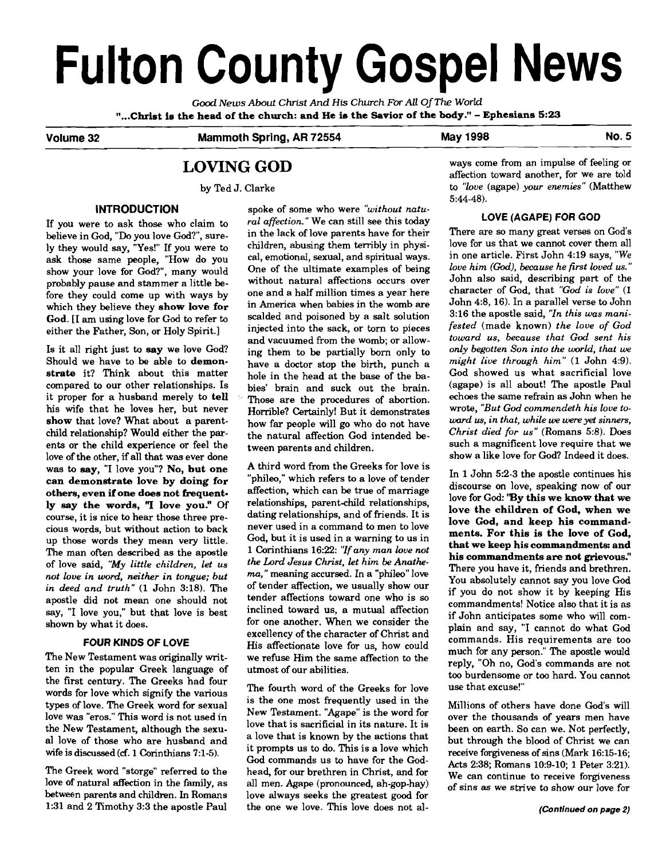# **Fulton County Gospel News**

Good News About Christ And His Church For All Of The World<br>"...Christ is the head of the church: and He is the Savior of the body." - Ephesians 5:23.

**Volume 32 Mammoth Spring, AR 72554 May 1998 No. 5** 

# **LOVING GOD**

by Ted J. Clarke

## **INTRODUCTION**

If you were to ask those who claim to believe in God, **"Do** you love God?", surely they would say, "Yes!" If you were to ask those same people, "How do you show your love for God?", many would probably pause and stammer a little before they could come up with ways by which they believe they **show love for God.** [I **am** using love for God to refer to either the Father, Son, or Holy Spirit.]

Is it all right just to **say** we love God? Should we have to be able to **demonstrate** it? Think about this matter compared to our other relationships. Is it proper for a husband merely **to tell**  his wife that he loves her, but never **show** that love? What about a parentchild relationship? Would either the parents or the child experience or feel the love of the other, if all that was ever done was to **say,** "I love you"? **No, but one can demonstrate love by doing for**  others, even if one does not frequent**ly say the words,** "I **love you!'** Of course, it is nice to hear those three precious words, but without action to back up those words they mean very little. The man often described as the apostle of love said, *"My little children, let us not love in word, neither in tongue; but in deed and truth"* (1 John 3:18). The apostle did not mean one should not say, "I love you," but that love is best shown by what it does.

## **FOUR KINDS OF LOVE**

The New Testament was originally written in the popular Greek language of the first century. The Greeks had four words for love which signify the various types of love. The Greek word for sexual love was "eros." This word is not used in the New Testament, although the sexual love of those who are husband and wife is discussed **(cf.** 1 Corinthians 7:l-5).

The Greek word "storge" referred to the love of natural affection in the family, as between parents and children. In Romans 1:31 and 2 Timothy 3:3 the apostle Paul

spoke of some who were *"without natural affection."* We can still see this today in the lack of love parents have for their children, abusing them terribly in physical, emotional, sexual, and spiritual ways. One of the ultimate examples of being without natural affections occurs over one and a half million times a year here in America when babies in the womb are scalded and poisoned by a salt solution injected into the sack, or torn to pieces and vacuumed from the womb; or allowing them to be partially born only to have a doctor stop the birth, punch a hole in the head at the base of the babies' brain and suck out the brain. Those are the procedures of abortion. Horrible? Certainly! But it demonstrates how far people will go who do not have the natural affection God intended between parents and children.

A third word from the Greeks for love is "phileo," which refers to a love of tender affection, which can be true of marriage relationships, parent-child relationships, dating relationships, and of friends. It is never used in a command to men to love God, but it is used in a warning to us in 1 Corinthians 16:22: *"Zf any man love not the Lord Jesus Christ, let him be Anathe***ma,"** meaning accursed. In a "phileo" love of tender affection, we usually show our tender affections toward one who is so inclined toward us, a mutual affection for one another. When we consider the excellency of the character of Christ and His affectionate love for us, how could we refuse Him the same affection to the utmost of our abilities.

The fourth word of the Greeks for love is the one most frequently used in the New Testament. "Agape" is the word for love that is sacrificial in its nature. It is a love that is known by the actions that it prompts us to do. This is a love which God commands us to have for the Godhead, for our brethren in Christ, and for all men. Agape (pronounced, ah-gop-hay) love always seeks the greatest good for the one we love. This love does not always come from an impulse of feeling or affection toward another, for we are told to *"love* (agape) *your enemies"* (Matthew 5:44-48).

## **LOVE (AGAPE) FOR GOD**

There are so many great verses on God's love for us that we cannot cover them all in one article. First John 4:19 says, *"We love him* **(God),** *because he first loved* **us."**  John also said, describing part of the character of God, that *"God is love"* (1 John 4:8, 16). In a parallel verse to John 3:16 the apostle said, *"Zn this was manifested* (made known) *the love of God toward us, because that God sent his only begotten Son into the world, that we might live through him"* **(1** John 4:9). God showed us what sacrificial love (agape) is all about! The apostle Paul echoes the same refrain as John when he wrote, *"But God commendeth his love toward* **us,** *in that, while we* **were** *yet sinners, Christ died for us"* (Romans 5:8). Does such a magnificent love require that we show a like love for God? Indeed it does.

In 1 John 5:2-3 the apostle continues his discourse on love, speaking now of our love for **God: 'By this we know that we love the children of God, when we love God, and keep his commandments. For this is the love of God, that we keep his commandments: and his commandments are not grievous.''**  There you have it, friends and brethren. You absolutely cannot say you love God if you do not show it by keeping His commandments! Notice also that it is as if John anticipates some who will complain and say, "I cannot do what God commands. His requirements are too much for any person." The apostle would reply, "Oh no, God's commands are not too burdensome or too hard. You cannot use that excuse!"

Millions of others have done God's will over the thousands of years men have been on earth. So can we. Not perfectly, but through the blood of Christ we can receive forgiveness of sins (Mark 16:15-16; Acts 238; Romans 10:9-10; 1 Peter 3:21). We can continue to receive forgiveness of sins **as** we strive to show our love for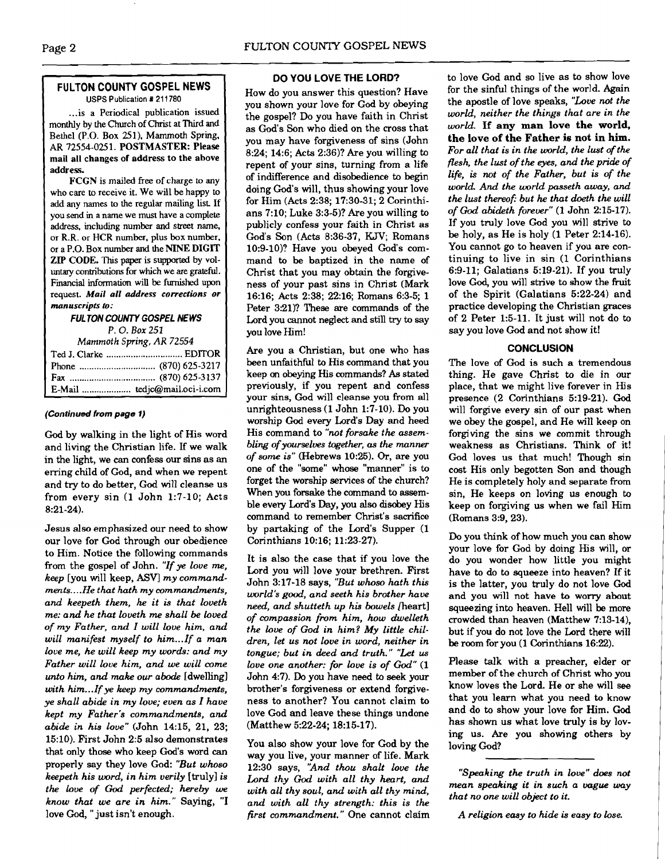#### **FULTON COUNTY GOSPEL NEWS**  USPS Publication *t* 21 1780

... is a Periodical publication issued monthly by the Church of Christ at Third and Bethel (P.O. Box 251). Mammoth Spring, AR 72554-025 1. POSTMASTER: Please mail all changes of address to the above address.

FCGN is mailed free of charge to any who care to receive it. We will be happy to add any names to the regular mailing list If you send in a name we must have a complete address, including number and street name, or R.R. or HCR number, plus **box** number, or a P.O. Box number and the NINE DIGIT ZIP CODE. This paper is supported by voluntary contributions for which we are grateful. Fmancial information will be **furnished** upon request. *Mail all address corrections or manuscripts* **to:** 

#### **FULTON COUNTY GOSPEL NEWS**

*P.* 0. *Box* 251

| Mammoth Spring, AR 72554 |                              |  |
|--------------------------|------------------------------|--|
|                          |                              |  |
|                          |                              |  |
|                          |                              |  |
|                          | E-Mail  tedjc@mail.oci-i.com |  |

#### **(Continued from page 1)**

God by walking in the light of His word and living the Christian life. If we walk in the light, we can confess our sins as an erring child of God, and when we repent and try to do better, God will cleanse us from every sin (1 John 1:7-10; Acts 8:21-24).

Jesus also emphasized our need to show our love for God through our obedience to Him. Notice the following commands from the gospel of John. *"If* ye *love me, keep* [you will keep, **ASV]** *my commandments..* . *.He that hath my commandments, and keepeth them, he it is that loveth me: and he that loveth me shall be loved*  of *my Father, and I will love him, and will manifest myself to him* ... *If a man love me, he will keep my words: and my Father will love him, and we will come unto him, and make ow abode* [dwelling] *with* **him..** .If *ye keep my commandments, ye shall abide in my love; even as I have kept my Father's commandments, and abide in his love"* (John 14:15, 21, 23; 15:lO). First John 2:5 also demonstrates that only those who keep God's word **can**  properly say they love God: *"But whoso keepeth his word, in him verily* [truly] *is the love of God perfected; hereby we know that we are in him."* Saying, *"I*  love God, "just isn't enough.

## **DO YOU LOVE THE LORD?**

How do you answer this question? Have you shown your love for God by **obeying**  the gospel? Do you have faith in Christ as God's Son who died on the cross that you may have forgiveness of sins (John 8:24; 14:6; Acts 2:36)? Are you willing to repent of your sins, turning from a life of indifference and disobedience to begin doing God's will, thus showing your love for Him (Acts 2:38; 17:30-31; 2 Corinthians 7:lO; Luke 3:3-5)? Are you willing to publicly confess your faith in Christ as God's Son (Acts 8:36-37, **KJV;** Romans 10:9-lo)? Have you obeyed God's command to be baptized in the name of Christ that you may obtain the forgiveness of your past sins in Christ (Mark 16:16; Acts 2:38; 22:16; Romans 6:3-5; 1 Peter 3:21)? These are commands of the Lord you cannot neglect and still try to say you love Him!

Are you a Christian, but one who has been unfaithful to His command that you keep on obeying His commands? **As** stated previously, if you repent and confess your sins, God will cleanse you from all unrighteousness (1 John 1:7-10). Do you worship God every Lord's Day and heed His command to *"not forsake the assembling of yourselves together,* **as** *the manner of some is"* (Hebrews 10:25). *Or,* are you one of the "some" whose "manner" is to forget the worship services of the church? When you forsake the command to **assem**ble every Lord's Day, you also disobey His command to remember Christ's sacrifice by partaking of the Lord's Supper (1 Corinthians 10:16; 11:23-27).

It is also the case that if you love the Lord you will love your brethren. First John 3:17-18 says, *"But whoso hath this world's* **good,** *and seeth his brother have need, and shutteth up his bowels* fieart] *of compassion from him, how dwelkth the love of God in him? My little children, let US not love in word, neither in tongue; but in deed and truth." "Let us love one another: for love is of God"* (1 John 4:7). Do you have need to seek your brother's forgiveness or extend forgiveness to another? You cannot claim to love God and leave these things undone (Matthew 5:22-24; 18:15-17).

You also show your love for God by the way you live, your manner of life. Mark 12:30 says, *'And thou shalt love the Lord thy God with all thy heart, and with all thy soul, and with all thy mind, and with all thy strength: this is the first commandment.* " One cannot claim to love God and so live as to show love for the sinful things of the world. Again the apostle of love speaks, *"Love not the world, neither the things that are in the world.* **If any man love the world, the love of the Father is not in him.**  *For all that is in the world, the lust of the flesh. the lust of the eyes, and the pride of life, is not of the Father, but is of the world And the world passeth away, and the lust thereofi but he that dodh the will*  of God abideth forever" (1 John 2:15-17). If you truly love God you will strive to be holy, as He is holy (1 Peter 2:14-16). You cannot go to heaven if you are continuing to live in sin **(1** Corinthians 6:9-11; Galatians 5:19-21). If you truly love **God,** you will strive to show the fruit of the Spirit (Galatians 5:22-24) and practice developing the Christian graces of 2 Peter 1:5-11. It just will not do to say you love God and not show it!

## **CONCLUSION**

The love of God is such a tremendous thing. He gave Christ to die in our place, that we might live forever in His presence (2 Corinthians 5:19-21). God will forgive every sin of our past when we obey the gospel, and He will keep on forgiving the sins we commit through weakness as Christians. Think of it! God loves us that much! Though sin cost His only begotten Son and though He is completely holy and separate from sin, He keeps on loving us enough to keep on forgiving us when we fail Him (Romans 3:9, 23).

Do you think of how much you can show your love for God by doing His will, or do you wonder how little you might have to do to squeeze into heaven? If it is the latter, you truly do not love God and you will not have to worry about squeezing into heaven. Hell will be more crowded than heaven (Matthew 7:13-14), but if you do not love the Lord there will be room for you (1 Corinthians 16:22).

Please talk with a preacher, elder or member of the church of Christ who you know loves the Lord. He or she will see that you learn what you need to know and do to show your love for Him. **God**  has shown us what love truly is by loving us. Are you showing others by loving God?

*"Speaking the truth in love" does not mean speaking it in such a vague way that no one will object to it.* 

*A religion easy to hide is easy to lose.*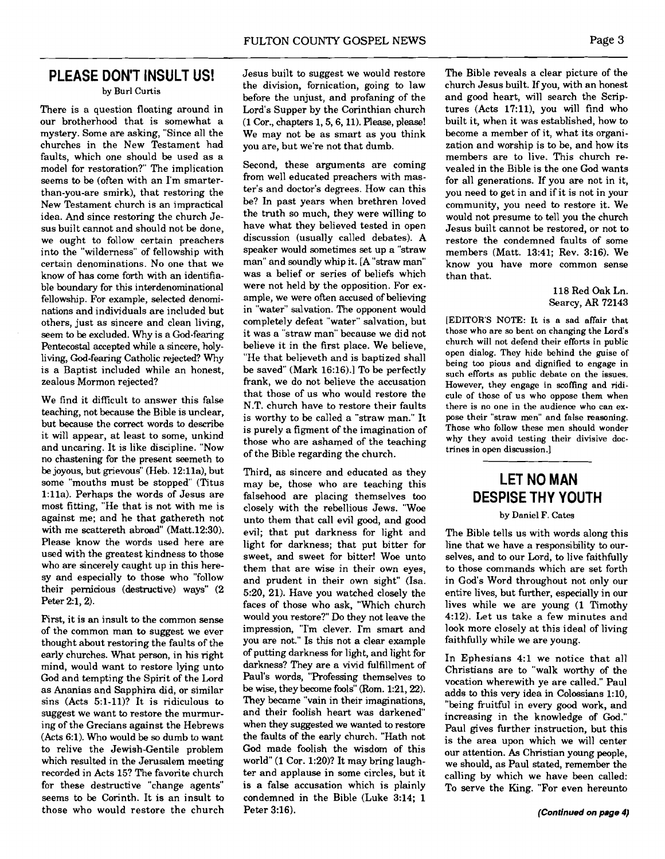## **PLEASE DON'T INSULT US!**  by Burl Curtis

There is a question floating around in our brotherhood that is somewhat a mystery. Some are asking, "Since all the churches in the New Testament had faults, which one should be used as a model for restoration?" The implication seems to be (often with an I'm smarterthan-you-are smirk), that restoring the New Testament church is an impractical idea. And since restoring the church Jesus built cannot and should not be done, we ought to follow certain preachers into the "wilderness" of fellowship with certain denominations. No one that we know of has come forth with an identifiable boundary for this interdenominational fellowship. For example, selected denominations and individuals are included but others, just as sincere and clean living, seem to be excluded. Why is a God-fearing Pentecostal accepted while a sincere, holyliving, God-fearing Catholic rejected? Why is a Baptist included while an honest, zealous Mormon rejected?

We find it difficult to answer this false teaching, not because the Bible is unclear, but because the correct words to describe it will appear, at least to some, unkind and uncaring. It is like discipline. "Now no chastening for the present seemeth to be joyous, but grievous'' (Heb. 12:lla), but some "mouths must be stopped" (Titus 1:lla). Perhaps the words of Jesus are most fitting, "He that is not with me is against me; and he that gathereth not with me scattereth abroad" (Matt.12:30). Please know the words used here are used with the greatest kindness to those who are sincerely caught up in this heresy and especially to those who "follow their pernicious (destructive) ways" (2 Peter 2:1,2).

First, it is an insult to the common sense of the common man to suggest we ever thought about restoring the faults of the early churches. What person, in his right mind, would want to restore lying unto God and tempting the Spirit of the Lord as Ananias and Sapphira did, or similar sins  $(Acts 5:1-11)?$  It is ridiculous to suggest we want to restore the murmuring of the Grecians against the Hebrews (Acts 6:l). Who would be so dumb to want to relive the Jewish-Gentile problem which resulted in the Jerusalem meeting recorded in Acts 15? The favorite church for these destructive "change agents" seems to be Corinth. It is an insult to those who would restore the church Jesus built to suggest we would restore the division, fornication, going to law before the unjust, and profaning of the Lord's Supper by the Corinthian church (1 Cor., chapters 1,5,6,11). **Please,** please! We may not be as smart as you think you are, but we're not that dumb.

Second, these arguments are coming from well educated preachers with master's and doctor's degrees. How can this be? In past years when brethren loved the truth so much, they were willing to have what they believed tested in open discussion (usually called debates). A speaker would sometimes set up a "straw man" and soundly whip it. [A "straw man" was a belief or series of beliefs which were not held by the opposition. For example, we were often accused of believing in "water" salvation. The opponent would completely defeat "water" salvation, but it was a "straw man" because we did not believe it in the first place. We believe, "He that believeth and is baptized shall be saved" (Mark 16:16).] To be perfectly frank, we do not believe the accusation that those of us who would restore the N.T. church have to restore their faults is worthy to be called a "straw man." It is purely a figment of the imagination of those who are ashamed of the teaching of the Bible regarding the church.

Third, as sincere and educated as they may be, those who are teaching this falsehood are placing themselves too closely with the rebellious Jews. "Woe unto them that call evil good, and good evil; that put darkness for light and light for darkness; that put bitter for sweet, and sweet for bitter! Woe unto them that are wise in their own eyes, and prudent in their own sight" (Isa. 5:20, 21). Have you watched closely the faces of those who ask, "Which church would you restore?'Do they not leave the impression, "I'm clever. I'm smart and you are not." Is this not a clear example of putting darkness for light, and light for darkness? They are a vivid fulfillment of Paul's words, "Professing themselves to be wise, they become fools" (Rom. 1:21, 22). They became "vain in their imaginations, and their foolish heart was darkened" when they suggested we wanted to restore the faults of the early church. "Hath not God made foolish the wisdom of this world" (1 Cor. 1:20)? It may bring laughter and applause in some circles, but it is a false accusation which is plainly condemned in the Bible (Luke 3:14; 1 Peter 3:16).

The Bible reveals a clear picture of the church Jesus built. If you, with an honest and good heart, will search the Scriptures (Acts 17:11), you will find who built it, when it was established, how to become a member of it, what its organization and worship is to be, and how its members are to live. This church revealed in the Bible is the one God wants for all generations. If you are not in it, you need to get in and if it is not in your community, you need to restore it. We would not presume to tell you the church Jesus built cannot be restored, or not to restore the condemned faults of some members (Matt. 13:41; Rev. 3:16). We know you have more common sense than that.

## 118 Red Oak Ln. Searcy, **AR** 72143

[EDITOR'S **NOTE:** It is a sad affair that those who are so bent on changing the Lord's church will not defend their efforts in public open dialog. They hide behind the guise of being too pious and dignified to engage in such efforts as public debate on the issues. However, they engage in scoffing and ridicule of those of us who oppose them when there is no one in the audience who can ex**pose** their "straw men" and false reasoning. Those who follow these men should wonder why they avoid testing their divisive doctrines in open discussion.]

## **LET NO MAN DESPISE THY YOUTH**

#### by Daniel **F.** Cates

The Bible tells us with words along this line that we have a responsibility to ourselves, and to our Lord, to live faithfully to those commands which are set forth in God's Word throughout not only our entire lives, but further, especially in our lives while we are young (1 Timothy 4:12). Let us take a few minutes and look more closely at this ideal of living faithfully while we are young.

In Ephesians 4:l we notice that all Christians are to "walk worthy of the vocation wherewith ye are called." Paul adds to this very idea in Colossians 1:10, "being fruitful in every good work, and increasing in the knowledge of God." Paul gives further instruction, but this is the area upon which we will center our attention. As Christian young people, we should, as Paul stated, remember the calling by which we have been called: To serve the King. "For even hereunto